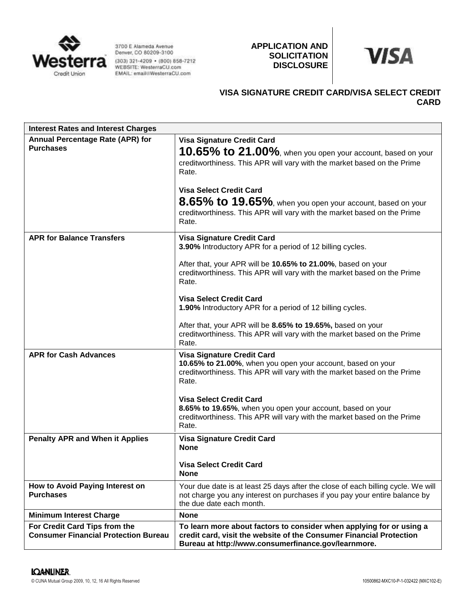

3700 E Alameda Avenue Denver, CO 80209-3100 (303) 321-4209 • (800) 858-7212<br>WEBSITE: WesterraCU.com<br>EMAIL: email@WesterraCU.com **APPLICATION AND SOLICITATION DISCLOSURE**



# **VISA SIGNATURE CREDIT CARD/VISA SELECT CREDIT CARD**

| <b>Interest Rates and Interest Charges</b>                                   |                                                                                                                                                                                                    |
|------------------------------------------------------------------------------|----------------------------------------------------------------------------------------------------------------------------------------------------------------------------------------------------|
| Annual Percentage Rate (APR) for<br><b>Purchases</b>                         | <b>Visa Signature Credit Card</b><br>10.65% to 21.00%, when you open your account, based on your<br>creditworthiness. This APR will vary with the market based on the Prime<br>Rate.               |
|                                                                              | <b>Visa Select Credit Card</b><br>8.65% to 19.65%, when you open your account, based on your<br>creditworthiness. This APR will vary with the market based on the Prime<br>Rate.                   |
| <b>APR for Balance Transfers</b>                                             | <b>Visa Signature Credit Card</b><br>3.90% Introductory APR for a period of 12 billing cycles.                                                                                                     |
|                                                                              | After that, your APR will be 10.65% to 21.00%, based on your<br>creditworthiness. This APR will vary with the market based on the Prime<br>Rate.                                                   |
|                                                                              | <b>Visa Select Credit Card</b><br>1.90% Introductory APR for a period of 12 billing cycles.                                                                                                        |
|                                                                              | After that, your APR will be 8.65% to 19.65%, based on your<br>creditworthiness. This APR will vary with the market based on the Prime<br>Rate.                                                    |
| <b>APR for Cash Advances</b>                                                 | <b>Visa Signature Credit Card</b><br>10.65% to 21.00%, when you open your account, based on your<br>creditworthiness. This APR will vary with the market based on the Prime<br>Rate.               |
|                                                                              | <b>Visa Select Credit Card</b><br>8.65% to 19.65%, when you open your account, based on your<br>creditworthiness. This APR will vary with the market based on the Prime<br>Rate.                   |
| <b>Penalty APR and When it Applies</b>                                       | <b>Visa Signature Credit Card</b><br><b>None</b>                                                                                                                                                   |
|                                                                              | <b>Visa Select Credit Card</b><br><b>None</b>                                                                                                                                                      |
| How to Avoid Paying Interest on<br><b>Purchases</b>                          | Your due date is at least 25 days after the close of each billing cycle. We will<br>not charge you any interest on purchases if you pay your entire balance by<br>the due date each month.         |
| <b>Minimum Interest Charge</b>                                               | <b>None</b>                                                                                                                                                                                        |
| For Credit Card Tips from the<br><b>Consumer Financial Protection Bureau</b> | To learn more about factors to consider when applying for or using a<br>credit card, visit the website of the Consumer Financial Protection<br>Bureau at http://www.consumerfinance.gov/learnmore. |